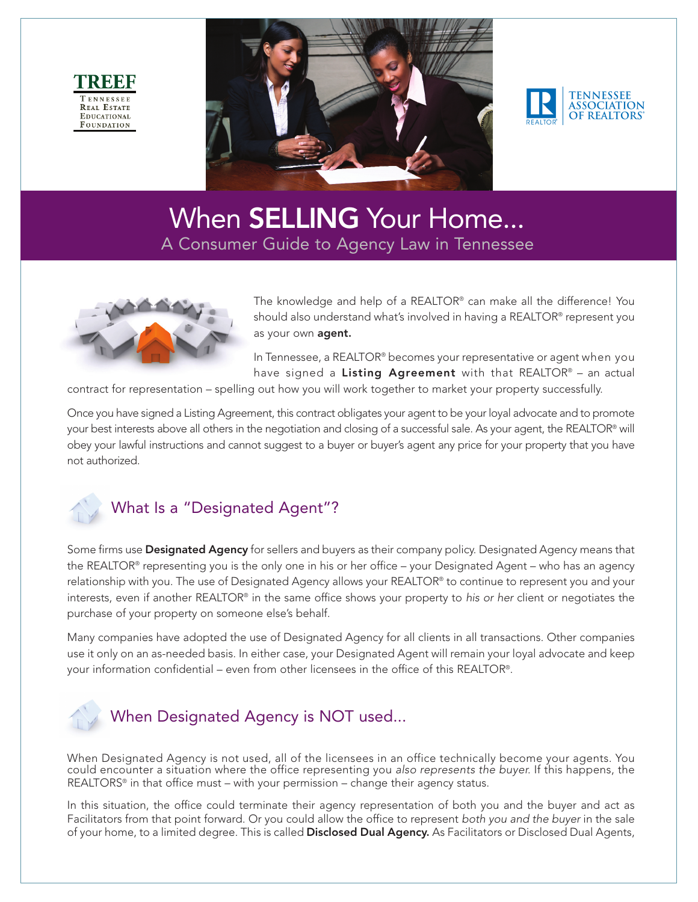





# When **SELLING** Your Home... A Consumer Guide to Agency Law in Tennessee



The knowledge and help of a REALTOR® can make all the difference! You should also understand what's involved in having a REALTOR® represent you as your own **agent**.

In Tennessee, a REALTOR® becomes your representative or agent when you have signed a Listing Agreement with that REALTOR® - an actual

contract for representation – spelling out how you will work together to market your property successfully.

Once you have signed a Listing Agreement, this contract obligates your agent to be your loyal advocate and to promote your best interests above all others in the negotiation and closing of a successful sale. As your agent, the REALTOR® will obey your lawful instructions and cannot suggest to a buyer or buyer's agent any price for your property that you have not authorized.



## What Is a "Designated Agent"?

Some firms use Designated Agency for sellers and buyers as their company policy. Designated Agency means that the REALTOR® representing you is the only one in his or her office – your Designated Agent – who has an agency relationship with you. The use of Designated Agency allows your REALTOR® to continue to represent you and your interests, even if another REALTOR® in the same office shows your property to his or her client or negotiates the purchase of your property on someone else's behalf.

Many companies have adopted the use of Designated Agency for all clients in all transactions. Other companies use it only on an as-needed basis. In either case, your Designated Agent will remain your loyal advocate and keep your information confidential – even from other licensees in the office of this REALTOR®.



When Designated Agency is not used, all of the licensees in an office technically become your agents. You could encounter a situation where the office representing you also represents the buyer. If this happens, the REALTORS<sup>®</sup> in that office must – with your permission – change their agency status.

In this situation, the office could terminate their agency representation of both you and the buyer and act as Facilitators from that point forward. Or you could allow the office to represent both you and the buyer in the sale of your home, to a limited degree. This is called Disclosed Dual Agency. As Facilitators or Disclosed Dual Agents,